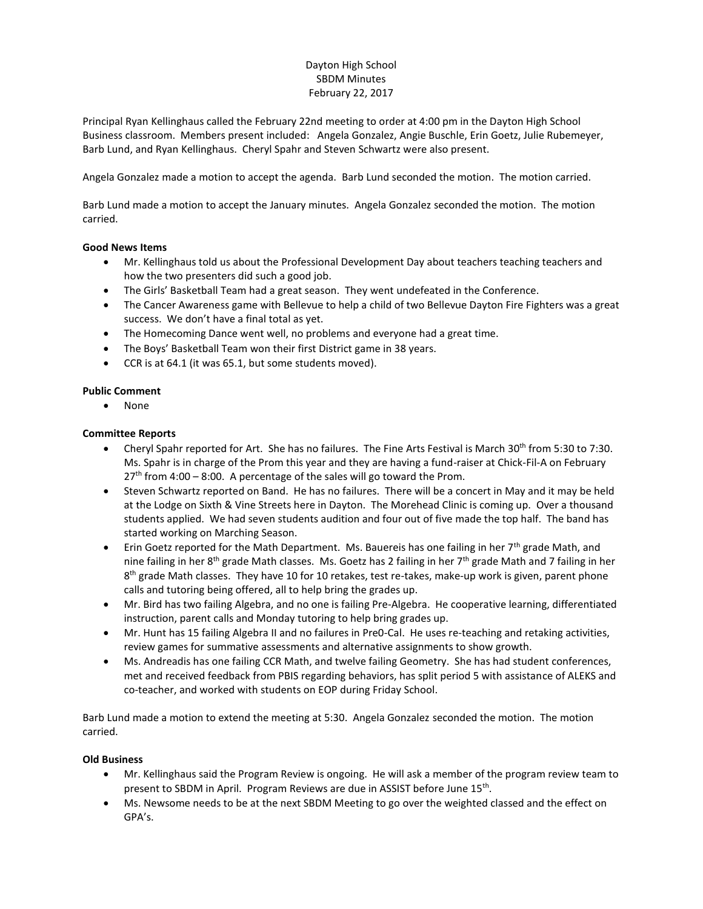# Dayton High School SBDM Minutes February 22, 2017

Principal Ryan Kellinghaus called the February 22nd meeting to order at 4:00 pm in the Dayton High School Business classroom. Members present included: Angela Gonzalez, Angie Buschle, Erin Goetz, Julie Rubemeyer, Barb Lund, and Ryan Kellinghaus. Cheryl Spahr and Steven Schwartz were also present.

Angela Gonzalez made a motion to accept the agenda. Barb Lund seconded the motion. The motion carried.

Barb Lund made a motion to accept the January minutes. Angela Gonzalez seconded the motion. The motion carried.

### **Good News Items**

- Mr. Kellinghaus told us about the Professional Development Day about teachers teaching teachers and how the two presenters did such a good job.
- The Girls' Basketball Team had a great season. They went undefeated in the Conference.
- The Cancer Awareness game with Bellevue to help a child of two Bellevue Dayton Fire Fighters was a great success. We don't have a final total as yet.
- The Homecoming Dance went well, no problems and everyone had a great time.
- The Boys' Basketball Team won their first District game in 38 years.
- CCR is at 64.1 (it was 65.1, but some students moved).

### **Public Comment**

None

### **Committee Reports**

- Cheryl Spahr reported for Art. She has no failures. The Fine Arts Festival is March 30<sup>th</sup> from 5:30 to 7:30. Ms. Spahr is in charge of the Prom this year and they are having a fund-raiser at Chick-Fil-A on February  $27<sup>th</sup>$  from 4:00 – 8:00. A percentage of the sales will go toward the Prom.
- Steven Schwartz reported on Band. He has no failures. There will be a concert in May and it may be held at the Lodge on Sixth & Vine Streets here in Dayton. The Morehead Clinic is coming up. Over a thousand students applied. We had seven students audition and four out of five made the top half. The band has started working on Marching Season.
- Erin Goetz reported for the Math Department. Ms. Bauereis has one failing in her  $7<sup>th</sup>$  grade Math, and nine failing in her 8<sup>th</sup> grade Math classes. Ms. Goetz has 2 failing in her 7<sup>th</sup> grade Math and 7 failing in her 8<sup>th</sup> grade Math classes. They have 10 for 10 retakes, test re-takes, make-up work is given, parent phone calls and tutoring being offered, all to help bring the grades up.
- Mr. Bird has two failing Algebra, and no one is failing Pre-Algebra. He cooperative learning, differentiated instruction, parent calls and Monday tutoring to help bring grades up.
- Mr. Hunt has 15 failing Algebra II and no failures in Pre0-Cal. He uses re-teaching and retaking activities, review games for summative assessments and alternative assignments to show growth.
- Ms. Andreadis has one failing CCR Math, and twelve failing Geometry. She has had student conferences, met and received feedback from PBIS regarding behaviors, has split period 5 with assistance of ALEKS and co-teacher, and worked with students on EOP during Friday School.

Barb Lund made a motion to extend the meeting at 5:30. Angela Gonzalez seconded the motion. The motion carried.

#### **Old Business**

- Mr. Kellinghaus said the Program Review is ongoing. He will ask a member of the program review team to present to SBDM in April. Program Reviews are due in ASSIST before June 15<sup>th</sup>.
- Ms. Newsome needs to be at the next SBDM Meeting to go over the weighted classed and the effect on GPA's.